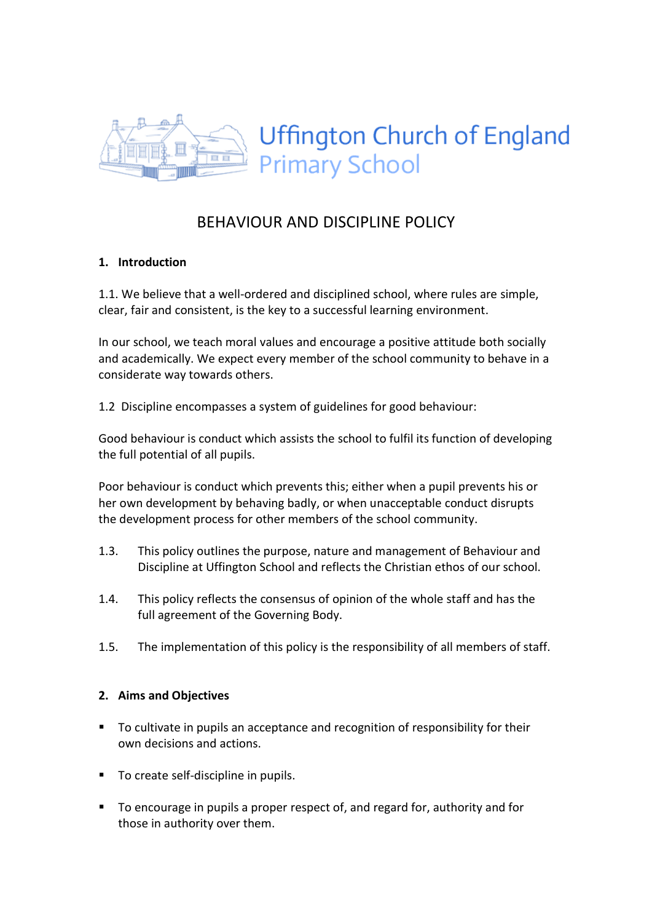

# BEHAVIOUR AND DISCIPLINE POLICY

#### 1. Introduction

1.1. We believe that a well-ordered and disciplined school, where rules are simple, clear, fair and consistent, is the key to a successful learning environment.

In our school, we teach moral values and encourage a positive attitude both socially and academically. We expect every member of the school community to behave in a considerate way towards others.

1.2 Discipline encompasses a system of guidelines for good behaviour:

Good behaviour is conduct which assists the school to fulfil its function of developing the full potential of all pupils.

Poor behaviour is conduct which prevents this; either when a pupil prevents his or her own development by behaving badly, or when unacceptable conduct disrupts the development process for other members of the school community.

- 1.3. This policy outlines the purpose, nature and management of Behaviour and Discipline at Uffington School and reflects the Christian ethos of our school.
- 1.4. This policy reflects the consensus of opinion of the whole staff and has the full agreement of the Governing Body.
- 1.5. The implementation of this policy is the responsibility of all members of staff.

#### 2. Aims and Objectives

- To cultivate in pupils an acceptance and recognition of responsibility for their own decisions and actions.
- To create self-discipline in pupils.
- To encourage in pupils a proper respect of, and regard for, authority and for those in authority over them.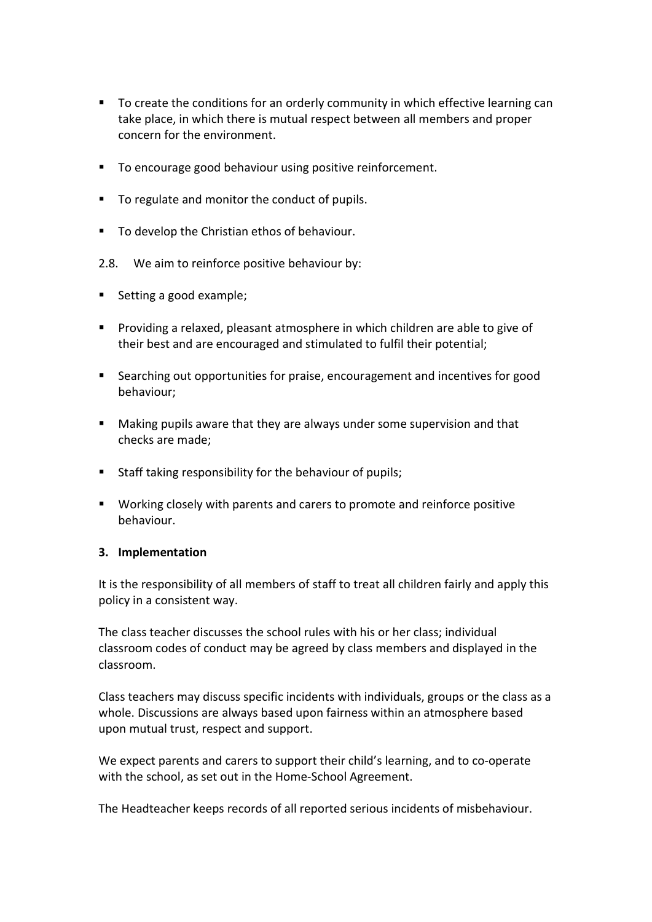- To create the conditions for an orderly community in which effective learning can take place, in which there is mutual respect between all members and proper concern for the environment.
- To encourage good behaviour using positive reinforcement.
- To regulate and monitor the conduct of pupils.
- **To develop the Christian ethos of behaviour.**
- 2.8. We aim to reinforce positive behaviour by:
- Setting a good example:
- Providing a relaxed, pleasant atmosphere in which children are able to give of their best and are encouraged and stimulated to fulfil their potential;
- Searching out opportunities for praise, encouragement and incentives for good behaviour;
- Making pupils aware that they are always under some supervision and that checks are made;
- Staff taking responsibility for the behaviour of pupils;
- Working closely with parents and carers to promote and reinforce positive behaviour.

#### 3. Implementation

It is the responsibility of all members of staff to treat all children fairly and apply this policy in a consistent way.

The class teacher discusses the school rules with his or her class; individual classroom codes of conduct may be agreed by class members and displayed in the classroom.

Class teachers may discuss specific incidents with individuals, groups or the class as a whole. Discussions are always based upon fairness within an atmosphere based upon mutual trust, respect and support.

We expect parents and carers to support their child's learning, and to co-operate with the school, as set out in the Home-School Agreement.

The Headteacher keeps records of all reported serious incidents of misbehaviour.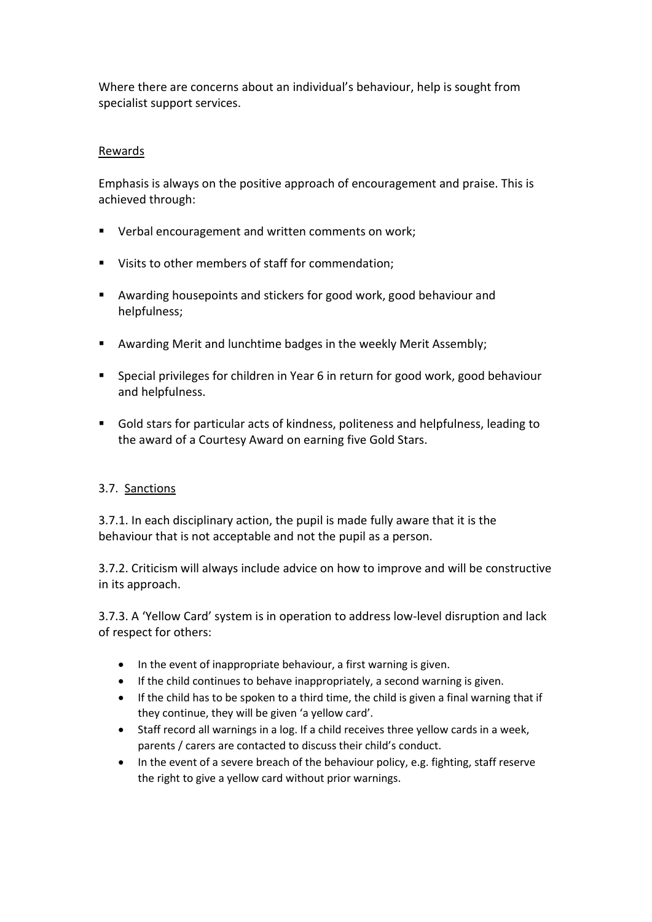Where there are concerns about an individual's behaviour, help is sought from specialist support services.

#### Rewards

Emphasis is always on the positive approach of encouragement and praise. This is achieved through:

- Verbal encouragement and written comments on work;
- Visits to other members of staff for commendation;
- Awarding housepoints and stickers for good work, good behaviour and helpfulness;
- Awarding Merit and lunchtime badges in the weekly Merit Assembly;
- Special privileges for children in Year 6 in return for good work, good behaviour and helpfulness.
- Gold stars for particular acts of kindness, politeness and helpfulness, leading to the award of a Courtesy Award on earning five Gold Stars.

#### 3.7. Sanctions

3.7.1. In each disciplinary action, the pupil is made fully aware that it is the behaviour that is not acceptable and not the pupil as a person.

3.7.2. Criticism will always include advice on how to improve and will be constructive in its approach.

3.7.3. A 'Yellow Card' system is in operation to address low-level disruption and lack of respect for others:

- In the event of inappropriate behaviour, a first warning is given.
- If the child continues to behave inappropriately, a second warning is given.
- If the child has to be spoken to a third time, the child is given a final warning that if they continue, they will be given 'a yellow card'.
- Staff record all warnings in a log. If a child receives three yellow cards in a week, parents / carers are contacted to discuss their child's conduct.
- In the event of a severe breach of the behaviour policy, e.g. fighting, staff reserve the right to give a yellow card without prior warnings.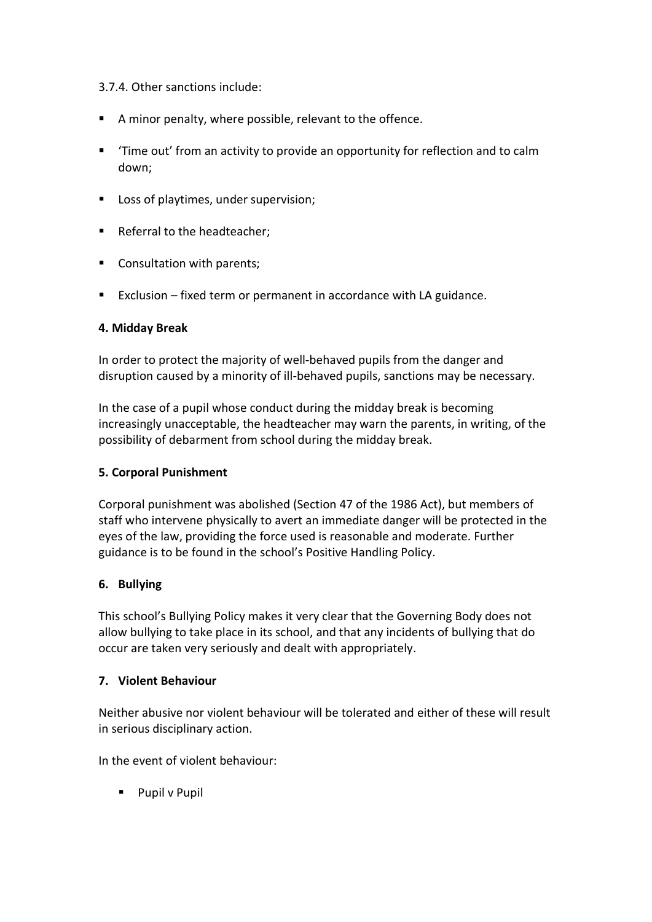#### 3.7.4. Other sanctions include:

- A minor penalty, where possible, relevant to the offence.
- 'Time out' from an activity to provide an opportunity for reflection and to calm down;
- Loss of playtimes, under supervision;
- Referral to the headteacher;
- Consultation with parents;
- Exclusion fixed term or permanent in accordance with LA guidance.

#### 4. Midday Break

In order to protect the majority of well-behaved pupils from the danger and disruption caused by a minority of ill-behaved pupils, sanctions may be necessary.

In the case of a pupil whose conduct during the midday break is becoming increasingly unacceptable, the headteacher may warn the parents, in writing, of the possibility of debarment from school during the midday break.

#### 5. Corporal Punishment

Corporal punishment was abolished (Section 47 of the 1986 Act), but members of staff who intervene physically to avert an immediate danger will be protected in the eyes of the law, providing the force used is reasonable and moderate. Further guidance is to be found in the school's Positive Handling Policy.

#### 6. Bullying

This school's Bullying Policy makes it very clear that the Governing Body does not allow bullying to take place in its school, and that any incidents of bullying that do occur are taken very seriously and dealt with appropriately.

## 7. Violent Behaviour

Neither abusive nor violent behaviour will be tolerated and either of these will result in serious disciplinary action.

In the event of violent behaviour:

**Pupil v Pupil**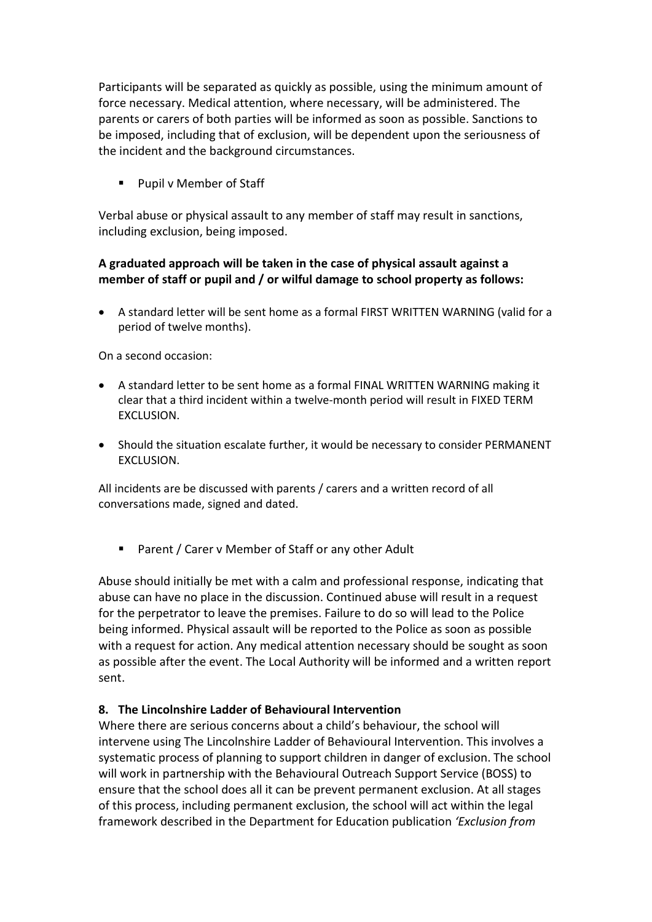Participants will be separated as quickly as possible, using the minimum amount of force necessary. Medical attention, where necessary, will be administered. The parents or carers of both parties will be informed as soon as possible. Sanctions to be imposed, including that of exclusion, will be dependent upon the seriousness of the incident and the background circumstances.

■ Pupil v Member of Staff

Verbal abuse or physical assault to any member of staff may result in sanctions, including exclusion, being imposed.

## A graduated approach will be taken in the case of physical assault against a member of staff or pupil and / or wilful damage to school property as follows:

 A standard letter will be sent home as a formal FIRST WRITTEN WARNING (valid for a period of twelve months).

On a second occasion:

- A standard letter to be sent home as a formal FINAL WRITTEN WARNING making it clear that a third incident within a twelve-month period will result in FIXED TERM EXCLUSION.
- Should the situation escalate further, it would be necessary to consider PERMANENT EXCLUSION.

All incidents are be discussed with parents / carers and a written record of all conversations made, signed and dated.

Parent / Carer v Member of Staff or any other Adult

Abuse should initially be met with a calm and professional response, indicating that abuse can have no place in the discussion. Continued abuse will result in a request for the perpetrator to leave the premises. Failure to do so will lead to the Police being informed. Physical assault will be reported to the Police as soon as possible with a request for action. Any medical attention necessary should be sought as soon as possible after the event. The Local Authority will be informed and a written report sent.

#### 8. The Lincolnshire Ladder of Behavioural Intervention

Where there are serious concerns about a child's behaviour, the school will intervene using The Lincolnshire Ladder of Behavioural Intervention. This involves a systematic process of planning to support children in danger of exclusion. The school will work in partnership with the Behavioural Outreach Support Service (BOSS) to ensure that the school does all it can be prevent permanent exclusion. At all stages of this process, including permanent exclusion, the school will act within the legal framework described in the Department for Education publication 'Exclusion from